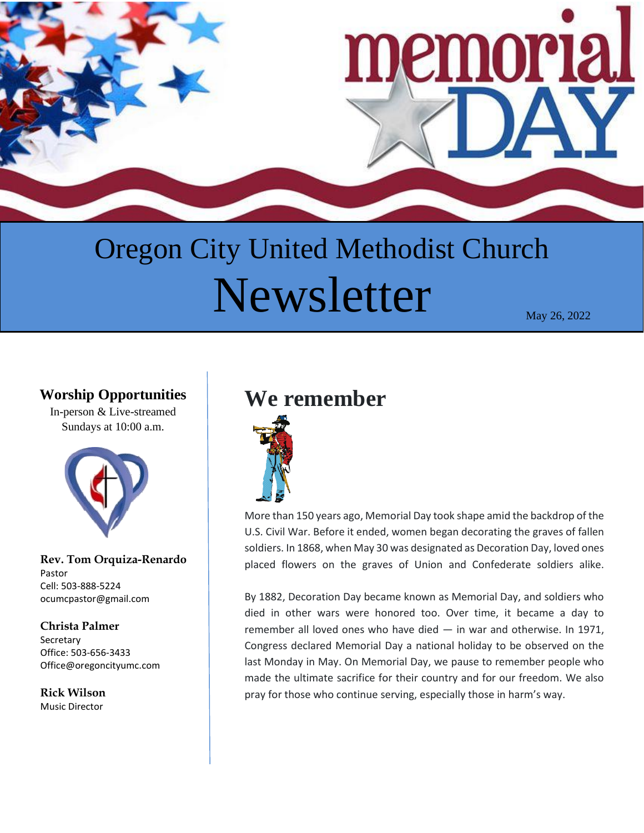

# Oregon City United Methodist Church  ${\bf Newsletter}$   $_{\text{May 26, 2022}}$

### **Worship Opportunities**

In-person & Live-streamed Sundays at 10:00 a.m.



**Rev. Tom Orquiza-Renardo** Pastor Cell: 503-888-5224 ocumcpastor@gmail.com

#### **Christa Palmer Secretary** Office: 503-656-3433 Office@oregoncityumc.com

**Rick Wilson** Music Director

# **We remember**



More than 150 years ago, Memorial Day took shape amid the backdrop of the U.S. Civil War. Before it ended, women began decorating the graves of fallen soldiers. In 1868, when May 30 was designated as Decoration Day, loved ones placed flowers on the graves of Union and Confederate soldiers alike.

By 1882, Decoration Day became known as Memorial Day, and soldiers who died in other wars were honored too. Over time, it became a day to remember all loved ones who have died — in war and otherwise. In 1971, Congress declared Memorial Day a national holiday to be observed on the last Monday in May. On Memorial Day, we pause to remember people who made the ultimate sacrifice for their country and for our freedom. We also pray for those who continue serving, especially those in harm's way.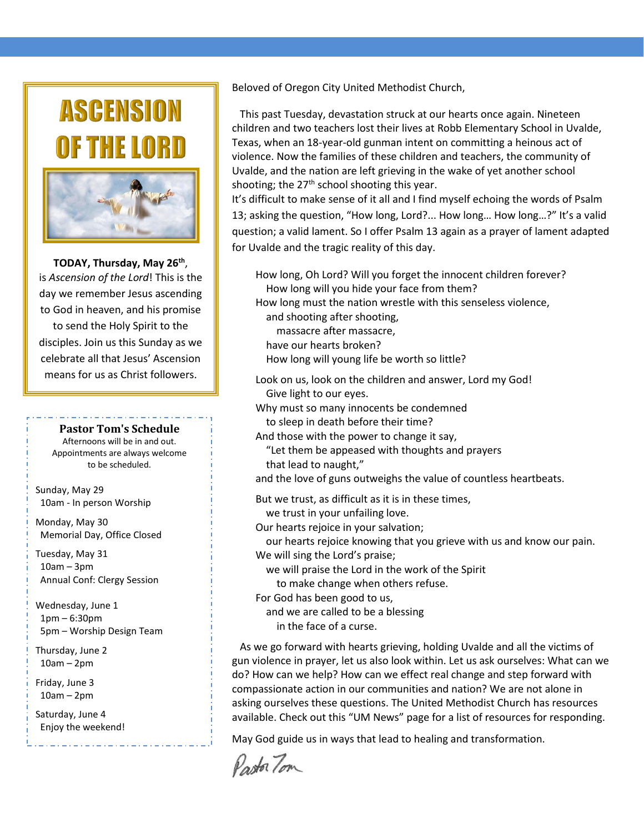# **ASCENSION** THE LO



**TODAY, Thursday, May 26th** , is *Ascension of the Lord*! This is the day we remember Jesus ascending to God in heaven, and his promise to send the Holy Spirit to the disciples. Join us this Sunday as we celebrate all that Jesus' Ascension means for us as Christ followers.

**Pastor Tom's Schedule** 

Afternoons will be in and out. Appointments are always welcome to be scheduled.

Sunday, May 29 10am - In person Worship

Monday, May 30 Memorial Day, Office Closed

Tuesday, May 31 10am – 3pm Annual Conf: Clergy Session

Wednesday, June 1 1pm – 6:30pm 5pm – Worship Design Team

Thursday, June 2 10am – 2pm

Friday, June 3 10am – 2pm

Saturday, June 4 Enjoy the weekend! Beloved of Oregon City United Methodist Church,

 This past Tuesday, devastation struck at our hearts once again. Nineteen children and two teachers lost their lives at Robb Elementary School in Uvalde, Texas, when an 18-year-old gunman intent on committing a heinous act of violence. Now the families of these children and teachers, the community of Uvalde, and the nation are left grieving in the wake of yet another school shooting; the  $27<sup>th</sup>$  school shooting this year.

It's difficult to make sense of it all and I find myself echoing the words of Psalm 13; asking the question, "How long, Lord?... How long… How long…?" It's a valid question; a valid lament. So I offer Psalm 13 again as a prayer of lament adapted for Uvalde and the tragic reality of this day.

How long, Oh Lord? Will you forget the innocent children forever? How long will you hide your face from them? How long must the nation wrestle with this senseless violence, and shooting after shooting, massacre after massacre, have our hearts broken? How long will young life be worth so little? Look on us, look on the children and answer, Lord my God! Give light to our eyes. Why must so many innocents be condemned to sleep in death before their time? And those with the power to change it say, "Let them be appeased with thoughts and prayers that lead to naught," and the love of guns outweighs the value of countless heartbeats. But we trust, as difficult as it is in these times, we trust in your unfailing love. Our hearts rejoice in your salvation; our hearts rejoice knowing that you grieve with us and know our pain. We will sing the Lord's praise;

 we will praise the Lord in the work of the Spirit to make change when others refuse.

For God has been good to us,

and we are called to be a blessing

in the face of a curse.

 As we go forward with hearts grieving, holding Uvalde and all the victims of gun violence in prayer, let us also look within. Let us ask ourselves: What can we do? How can we help? How can we effect real change and step forward with compassionate action in our communities and nation? We are not alone in asking ourselves these questions. The United Methodist Church has resources available. Check out this "UM News" page for a list of resources for responding.

May God guide us in ways that lead to healing and transformation.

Pastor Tom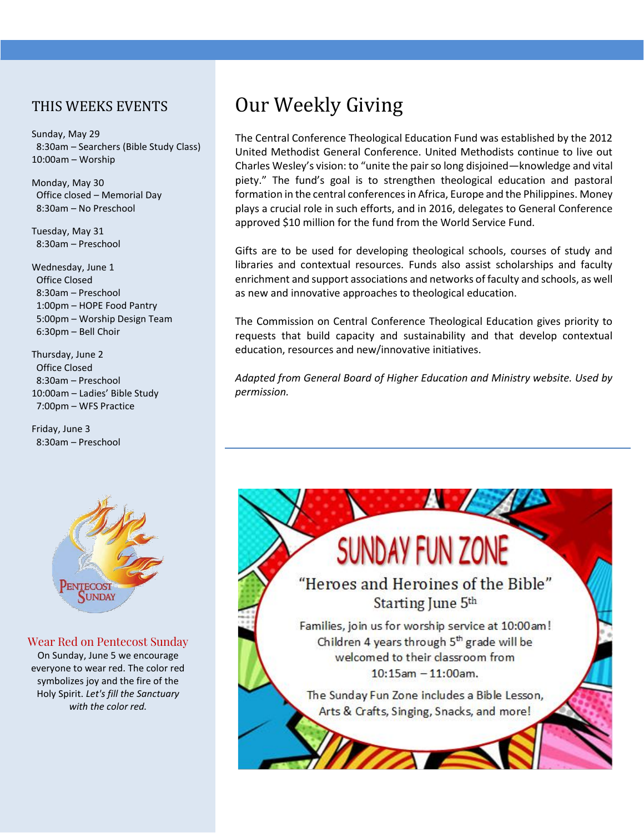#### THIS WEEKS EVENTS

Sunday, May 29 8:30am – Searchers (Bible Study Class) 10:00am – Worship

Monday, May 30 Office closed – Memorial Day 8:30am – No Preschool

Tuesday, May 31 8:30am – Preschool

Wednesday, June 1 Office Closed 8:30am – Preschool 1:00pm – HOPE Food Pantry 5:00pm – Worship Design Team 6:30pm – Bell Choir

Thursday, June 2 Office Closed 8:30am – Preschool 10:00am – Ladies' Bible Study 7:00pm – WFS Practice

Friday, June 3 8:30am – Preschool



#### Wear Red on Pentecost Sunday

On Sunday, June 5 we encourage everyone to wear red. The color red symbolizes joy and the fire of the Holy Spirit. *Let's fill the Sanctuary with the color red.*

# Our Weekly Giving

The Central Conference Theological Education Fund was established by the 2012 United Methodist General Conference. United Methodists continue to live out Charles Wesley's vision: to "unite the pair so long disjoined—knowledge and vital piety." The fund's goal is to strengthen theological education and pastoral formation in the central conferences in Africa, Europe and the Philippines. Money plays a crucial role in such efforts, and in 2016, delegates to General Conference approved \$10 million for the fund from the World Service Fund.

Gifts are to be used for developing theological schools, courses of study and libraries and contextual resources. Funds also assist scholarships and faculty enrichment and support associations and networks of faculty and schools, as well as new and innovative approaches to theological education.

The Commission on Central Conference Theological Education gives priority to requests that build capacity and sustainability and that develop contextual education, resources and new/innovative initiatives.

*Adapted from General Board of Higher Education and Ministry website. Used by permission.*